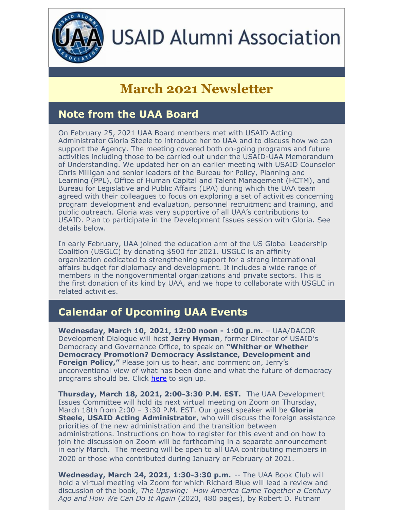

# **USAID Alumni Association**

# **March 2021 Newsletter**

# **Note from the UAA Board**

On February 25, 2021 UAA Board members met with USAID Acting Administrator Gloria Steele to introduce her to UAA and to discuss how we can support the Agency. The meeting covered both on-going programs and future activities including those to be carried out under the USAID-UAA Memorandum of Understanding. We updated her on an earlier meeting with USAID Counselor Chris Milligan and senior leaders of the Bureau for Policy, Planning and Learning (PPL), Office of Human Capital and Talent Management (HCTM), and Bureau for Legislative and Public Affairs (LPA) during which the UAA team agreed with their colleagues to focus on exploring a set of activities concerning program development and evaluation, personnel recruitment and training, and public outreach. Gloria was very supportive of all UAA's contributions to USAID. Plan to participate in the Development Issues session with Gloria. See details below.

In early February, UAA joined the education arm of the US Global Leadership Coalition (USGLC) by donating \$500 for 2021. USGLC is an affinity organization dedicated to strengthening support for a strong international affairs budget for diplomacy and development. It includes a wide range of members in the nongovernmental organizations and private sectors. This is the first donation of its kind by UAA, and we hope to collaborate with USGLC in related activities.

# **Calendar of Upcoming UAA Events**

**Wednesday, March 10, 2021, 12:00 noon - 1:00 p.m.** – UAA/DACOR Development Dialogue will host **Jerry Hyman**, former Director of USAID's Democracy and Governance Office, to speak on **"Whither or Whether Democracy Promotion? Democracy Assistance, Development and Foreign Policy,"** Please join us to hear, and comment on, Jerry's unconventional view of what has been done and what the future of democracy programs should be. Click [here](https://mms.dacorbacon.org/Calendar/moreinfo.php?eventid=30732) to sign up.

**Thursday, March 18, 2021, 2:00-3:30 P.M. EST.** The UAA Development Issues Committee will hold its next virtual meeting on Zoom on Thursday, March 18th from 2:00 – 3:30 P.M. EST. Our guest speaker will be **Gloria Steele, USAID Acting Administrator**, who will discuss the foreign assistance priorities of the new administration and the transition between administrations. Instructions on how to register for this event and on how to join the discussion on Zoom will be forthcoming in a separate announcement in early March. The meeting will be open to all UAA contributing members in 2020 or those who contributed during January or February of 2021.

**Wednesday, March 24, 2021, 1:30-3:30 p.m.** -- The UAA Book Club will hold a virtual meeting via Zoom for which Richard Blue will lead a review and discussion of the book, *The Upswing: How America Came Together a Century Ago and How We Can Do It Again* (2020, 480 pages), by Robert D. Putnam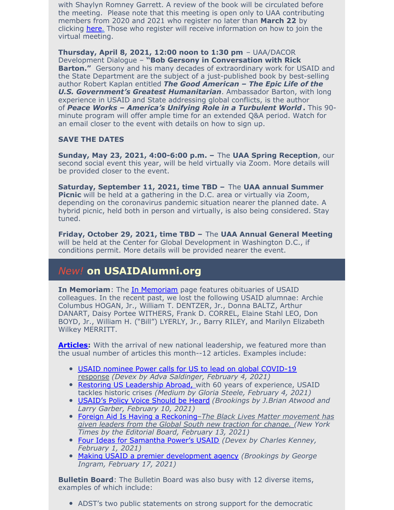with Shaylyn Romney Garrett. A review of the book will be circulated before the meeting. Please note that this meeting is open only to UAA contributing members from 2020 and 2021 who register no later than **March 22** by clicking [here.](https://conta.cc/3uFYlDq) Those who register will receive information on how to join the virtual meeting.

**Thursday, April 8, 2021, 12:00 noon to 1:30 pm** – UAA/DACOR Development Dialogue – **"Bob Gersony in Conversation with Rick Barton."** Gersony and his many decades of extraordinary work for USAID and the State Department are the subject of a just-published book by best-selling author Robert Kaplan entitled *The Good American – The Epic Life of the U.S. Government's Greatest Humanitarian*. Ambassador Barton, with long experience in USAID and State addressing global conflicts, is the author of *Peace Works – America's Unifying Role in a Turbulent World* **.** This 90 minute program will offer ample time for an extended Q&A period. Watch for an email closer to the event with details on how to sign up.

#### **SAVE THE DATES**

**Sunday, May 23, 2021, 4:00-6:00 p.m. –** The **UAA Spring Reception**, our second social event this year, will be held virtually via Zoom. More details will be provided closer to the event.

**Saturday, September 11, 2021, time TBD –** The **UAA annual Summer Picnic** will be held at a gathering in the D.C. area or virtually via Zoom, depending on the coronavirus pandemic situation nearer the planned date. A hybrid picnic, held both in person and virtually, is also being considered. Stay tuned.

**Friday, October 29, 2021, time TBD –** The **UAA Annual General Meeting** will be held at the Center for Global Development in Washington D.C., if conditions permit. More details will be provided nearer the event.

#### *New!* **on USAIDAlumni.org**

**In [Memoriam](https://www.usaidalumni.org/tribute/)**: The *In Memoriam* page features obituaries of USAID colleagues. In the recent past, we lost the following USAID alumnae: Archie Columbus HOGAN, Jr., William T. DENTZER, Jr., Donna BALTZ, Arthur DANART, Daisy Portee WITHERS, Frank D. CORREL, Elaine Stahl LEO, Don BOYD, Jr., William H. ("Bill") LYERLY, Jr., Barry RILEY, and Marilyn Elizabeth Wilkey MERRITT.

**[Articles](https://www.usaidalumni.org/development-issues/articles/):** With the arrival of new national leadership, we featured more than the usual number of articles this month--12 articles. Examples include:

- USAID nominee Power calls for US to lead on global [COVID-19](https://www.devex.com/news/usaid-nominee-power-calls-for-us-to-lead-on-global-covid-19-response-99063?) [response](https://www.devex.com/news/usaid-nominee-power-calls-for-us-to-lead-on-global-covid-19-response-99063?) *(Devex by Adva Saldinger, February 4, 2021)*
- Restoring US [Leadership](https://medium.com/usaid-2030/restoring-u-s-leadership-abroad-c441a4e2c9a5) Abroad, with 60 years of experience, USAID tackles historic crises *(Medium by Gloria Steele, February 4, 2021)*
- [USAID's](https://www.brookings.edu/blog/future-development/2021/02/10/usaids-policy-voice-should-be-heard/) Policy Voice Should be Hear[d](https://www.brookings.edu/blog/future-development/2021/02/10/usaids-policy-voice-should-be-heard/) *(Brookings by J.Brian Atwood and Larry Garber, February 10, 2021)*
- Foreign Aid Is Having a [Reckoning](https://www.nytimes.com/2021/02/13/opinion/africa-foreign-aid-philanthropy.html?action=click&module=Opinion&pgtype=Homepage)*–The Black Lives Matter [movement](https://www.nytimes.com/2021/02/13/opinion/africa-foreign-aid-philanthropy.html?action=click&module=Opinion&pgtype=Homepage) has given leaders from the Global South new traction for change. (New York Times by the Editorial Board, February 13, 2021)*
- Four Ideas for [Samantha](https://www.cgdev.org/blog/four-ideas-samantha-powers-usaid) Power's USAID *(Devex by Charles Kenney, February 1, 2021)*
- Making USAID a premier [development](https://www.brookings.edu/research/making-usaid-a-premier-development-agency/) agency *(Brookings by George Ingram, February 17, 2021)*

**Bulletin Board**: The Bulletin Board was also busy with 12 diverse items, examples of which include:

ADST's two public statements on strong support for the democratic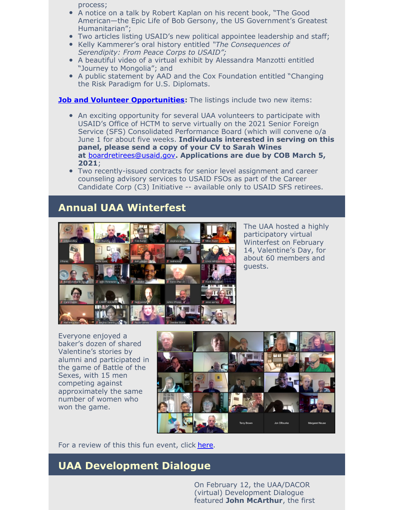process;

- A notice on a talk by Robert Kaplan on his recent book, "The Good American—the Epic Life of Bob Gersony, the US Government's Greatest Humanitarian";
- Two articles listing USAID's new political appointee leadership and staff;
- Kelly Kammerer's oral history entitled *"The Consequences of Serendipity: From Peace Corps to USAID";*
- A beautiful video of a virtual exhibit by Alessandra Manzotti entitled "Journey to Mongolia"; and
- A public statement by AAD and the Cox Foundation entitled "Changing the Risk Paradigm for U.S. Diplomats.

**Job and Volunteer [Opportunities](https://www.usaidalumni.org/get-involved/job-volunteer-opportunities/):** The listings include two new items:

- An exciting opportunity for several UAA volunteers to participate with USAID's Office of HCTM to serve virtually on the 2021 Senior Foreign Service (SFS) Consolidated Performance Board (which will convene o/a June 1 for about five weeks. **Individuals interested in serving on this panel, please send a copy of your CV to Sarah Wines at** [boardretirees@usaid.gov](mailto:boardretirees@usaid.gov)**. Applications are due by COB March 5, 2021**;
- Two recently-issued contracts for senior level assignment and career counseling advisory services to USAID FSOs as part of the Career Candidate Corp (C3) Initiative -- available only to USAID SFS retirees.

#### **Annual UAA Winterfest**



The UAA hosted a highly participatory virtual Winterfest on February 14, Valentine's Day, for about 60 members and guests.

Everyone enjoyed a baker's dozen of shared Valentine's stories by alumni and participated in the game of Battle of the Sexes, with 15 men competing against approximately the same number of women who won the game.



For a review of this this fun event, click [here](https://youtu.be/6EBVZFtNYdk).

#### **UAA Development Dialogue**

On February 12, the UAA/DACOR (virtual) Development Dialogue featured **John McArthur**, the first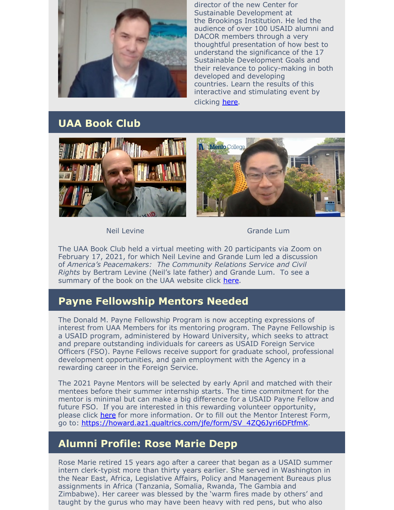

director of the new Center for Sustainable Development at the Brookings Institution. He led the audience of over 100 USAID alumni and DACOR members through a very thoughtful presentation of how best to understand the significance of the 17 Sustainable Development Goals and their relevance to policy-making in both developed and developing countries. Learn the results of this interactive and stimulating event by clicking [here](https://vimeo.com/513564812/426602de59).

### **UAA Book Club**





Neil Levine Grande Lum

The UAA Book Club held a virtual meeting with 20 participants via Zoom on February 17, 2021, for which Neil Levine and Grande Lum led a discussion of *America's Peacemakers: The Community Relations Service and Civil Rights* by Bertram Levine (Neil's late father) and Grande Lum. To see a summary of the book on the UAA website click [here](https://www.usaidalumni.org/wp-content/uploads/2021/02/Americas-Peacemakers-summary.pdf).

# **Payne Fellowship Mentors Needed**

The Donald M. Payne Fellowship Program is now accepting expressions of interest from UAA Members for its mentoring program. The Payne Fellowship is a USAID program, administered by Howard University, which seeks to attract and prepare outstanding individuals for careers as USAID Foreign Service Officers (FSO). Payne Fellows receive support for graduate school, professional development opportunities, and gain employment with the Agency in a rewarding career in the Foreign Service.

The 2021 Payne Mentors will be selected by early April and matched with their mentees before their summer internship starts. The time commitment for the mentor is minimal but can make a big difference for a USAID Payne Fellow and future FSO. If you are interested in this rewarding volunteer opportunity, please click [here](https://www.paynefellows.org/graduate-fellowship-program/payne-program-overview/) for more information. Or to fill out the Mentor Interest Form, go to: [https://howard.az1.qualtrics.com/jfe/form/SV\\_4ZQ6Jyri6DFtfmK](https://howard.az1.qualtrics.com/jfe/form/SV_4ZQ6Jyri6DFtfmK).

# **Alumni Profile: Rose Marie Depp**

Rose Marie retired 15 years ago after a career that began as a USAID summer intern clerk-typist more than thirty years earlier. She served in Washington in the Near East, Africa, Legislative Affairs, Policy and Management Bureaus plus assignments in Africa (Tanzania, Somalia, Rwanda, The Gambia and Zimbabwe). Her career was blessed by the 'warm fires made by others' and taught by the gurus who may have been heavy with red pens, but who also